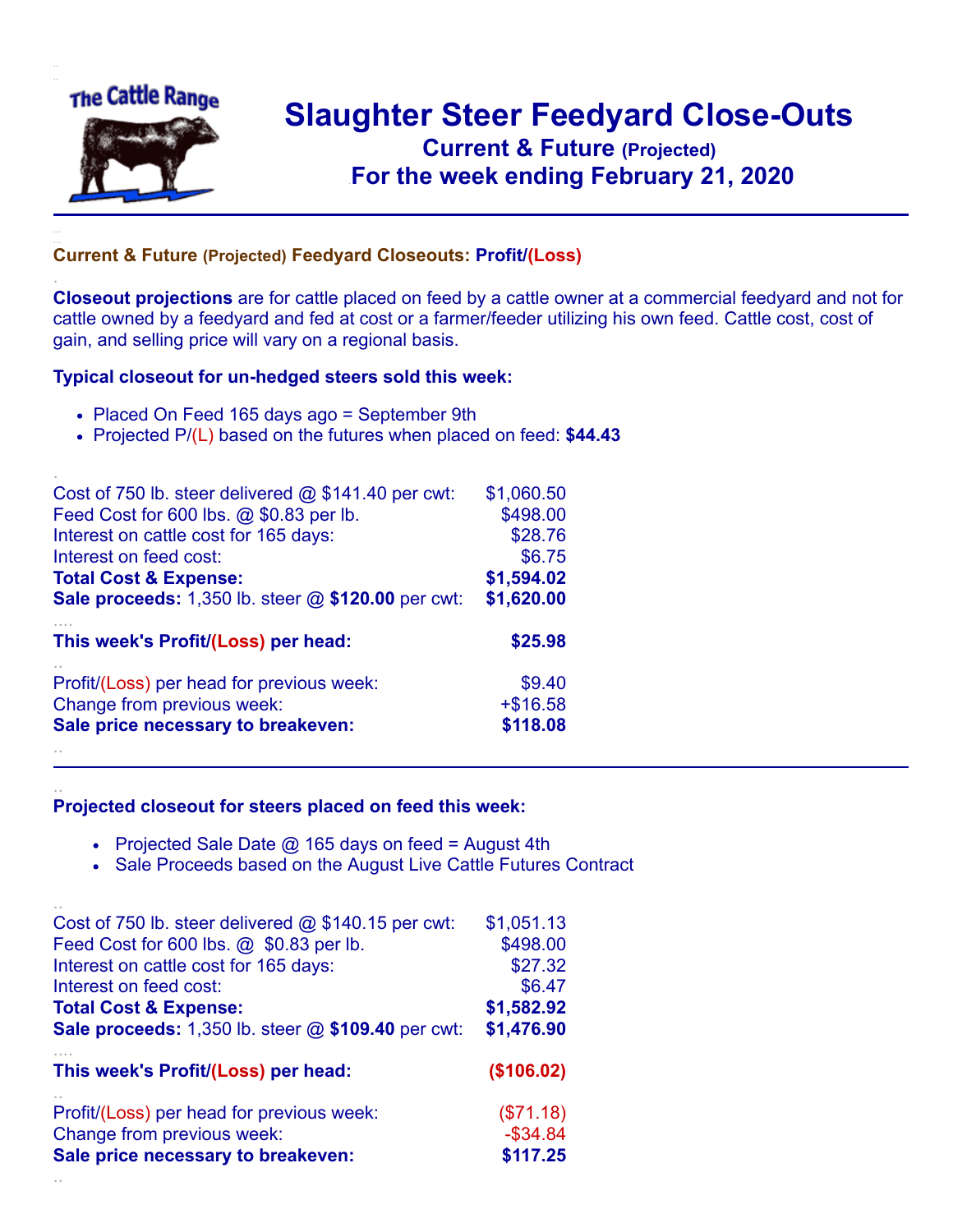

.

..

## **Slaughter Steer Feedyard Close-Outs Current & Future (Projected)** .**For the week ending February 21, 2020**

## **Current & Future (Projected) Feedyard Closeouts: Profit/(Loss)**

**Closeout projections** are for cattle placed on feed by a cattle owner at a commercial feedyard and not for cattle owned by a feedyard and fed at cost or a farmer/feeder utilizing his own feed. Cattle cost, cost of gain, and selling price will vary on a regional basis.

## **Typical closeout for un-hedged steers sold this week:**

- Placed On Feed 165 days ago = September 9th
- Projected P/(L) based on the futures when placed on feed: **\$44.43**

| Cost of 750 lb. steer delivered $@$ \$141.40 per cwt:       | \$1,060.50  |
|-------------------------------------------------------------|-------------|
| Feed Cost for 600 lbs. @ \$0.83 per lb.                     | \$498.00    |
| Interest on cattle cost for 165 days:                       | \$28.76     |
| Interest on feed cost:                                      | \$6.75      |
| <b>Total Cost &amp; Expense:</b>                            | \$1,594.02  |
| <b>Sale proceeds:</b> 1,350 lb. steer $@$ \$120.00 per cwt: | \$1,620.00  |
| This week's Profit/(Loss) per head:                         | \$25.98     |
| Profit/(Loss) per head for previous week:                   | \$9.40      |
|                                                             |             |
| Change from previous week:                                  | $+$ \$16.58 |
| Sale price necessary to breakeven:                          | \$118.08    |

## **Projected closeout for steers placed on feed this week:**

- Projected Sale Date  $@$  165 days on feed = August 4th
- Sale Proceeds based on the August Live Cattle Futures Contract

| Profit/(Loss) per head for previous week:                   | (\$71.18)   |
|-------------------------------------------------------------|-------------|
| Change from previous week:                                  | $-$ \$34.84 |
| Sale price necessary to breakeven:                          | \$117.25    |
| This week's Profit/(Loss) per head:                         | (\$106.02)  |
| Cost of 750 lb. steer delivered $@$ \$140.15 per cwt:       | \$1,051.13  |
| Feed Cost for 600 lbs. @ \$0.83 per lb.                     | \$498.00    |
| Interest on cattle cost for 165 days:                       | \$27.32     |
| Interest on feed cost:                                      | \$6.47      |
| <b>Total Cost &amp; Expense:</b>                            | \$1,582.92  |
| <b>Sale proceeds:</b> 1,350 lb. steer $@$ \$109.40 per cwt: | \$1,476.90  |